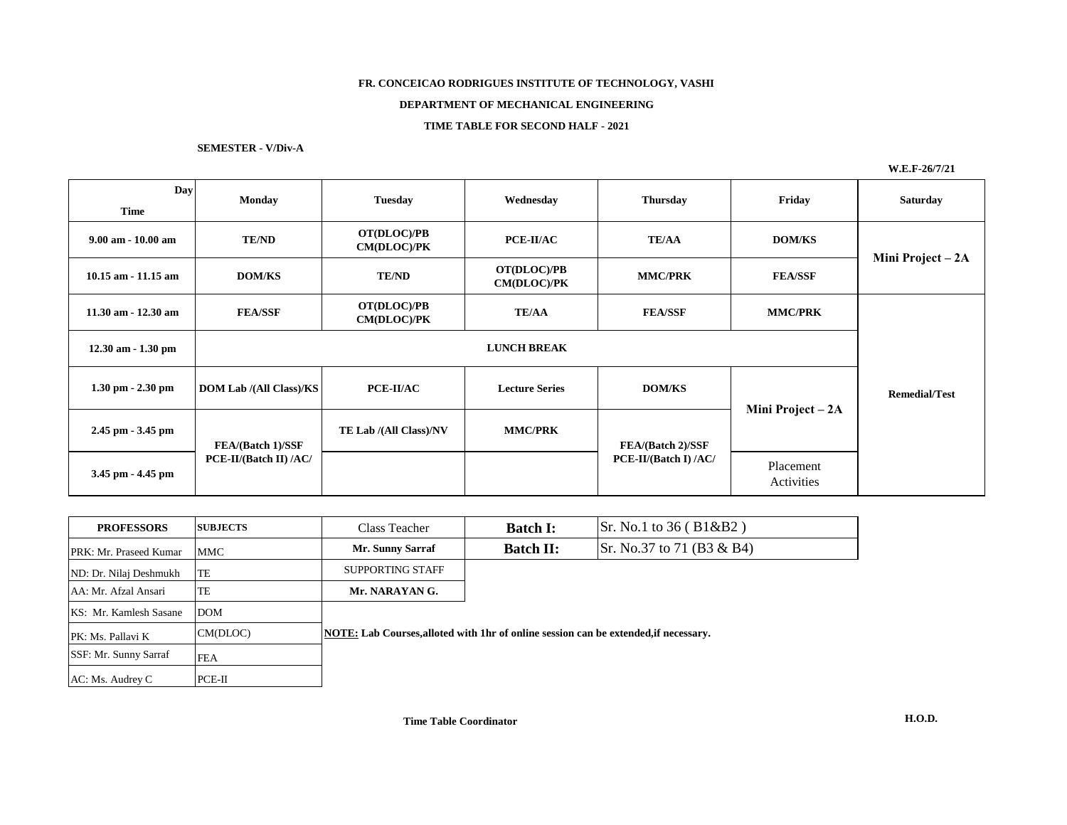# **FR. CONCEICAO RODRIGUES INSTITUTE OF TECHNOLOGY, VASHI**

### **DEPARTMENT OF MECHANICAL ENGINEERING**

## **TIME TABLE FOR SECOND HALF - 2021**

**SEMESTER - V/Div-A**

**W.E.F-26/7/21**

| Day<br>Time            | <b>Monday</b>                  | <b>Tuesday</b>                    | Wednesday                         | <b>Thursday</b>                                                       | Friday            | <b>Saturday</b>      |  |
|------------------------|--------------------------------|-----------------------------------|-----------------------------------|-----------------------------------------------------------------------|-------------------|----------------------|--|
| $9.00$ am $-10.00$ am  | <b>TE/ND</b>                   | OT(DLOC)/PB<br><b>CM(DLOC)/PK</b> | PCE-II/AC                         | <b>TE/AA</b>                                                          | <b>DOM/KS</b>     | Mini Project - 2A    |  |
| $10.15$ am $-11.15$ am | <b>DOM/KS</b>                  | <b>TE/ND</b>                      | OT(DLOC)/PB<br><b>CM(DLOC)/PK</b> | <b>MMC/PRK</b>                                                        | <b>FEA/SSF</b>    |                      |  |
| $11.30$ am $-12.30$ am | <b>FEA/SSF</b>                 | OT(DLOC)/PB<br><b>CM(DLOC)/PK</b> | <b>TE/AA</b>                      | <b>FEA/SSF</b>                                                        | <b>MMC/PRK</b>    |                      |  |
| $12.30$ am $-1.30$ pm  | <b>LUNCH BREAK</b>             |                                   |                                   |                                                                       |                   |                      |  |
| $1.30$ pm $- 2.30$ pm  | <b>DOM Lab</b> /(All Class)/KS | PCE-II/AC                         | <b>Lecture Series</b>             | <b>DOM/KS</b>                                                         | Mini Project - 2A | <b>Remedial/Test</b> |  |
| $2.45$ pm $-3.45$ pm   | FEA/(Batch 1)/SSF              | TE Lab /(All Class)/NV            | <b>MMC/PRK</b>                    | FEA/(Batch 2)/SSF<br>PCE-II/(Batch I) /AC/<br>Placement<br>Activities |                   |                      |  |
| 3.45 pm - 4.45 pm      | PCE-II/(Batch II) /AC/         |                                   |                                   |                                                                       |                   |                      |  |

| <b>PROFESSORS</b>      | <b>SUBJECTS</b> | Class Teacher                                                                        | <b>Batch I:</b>  | $\vert$ Sr. No.1 to 36 (B1&B2)    |  |  |
|------------------------|-----------------|--------------------------------------------------------------------------------------|------------------|-----------------------------------|--|--|
| PRK: Mr. Praseed Kumar | MMC             | <b>Mr. Sunny Sarraf</b>                                                              | <b>Batch II:</b> | $\vert$ Sr. No.37 to 71 (B3 & B4) |  |  |
| ND: Dr. Nilaj Deshmukh | TE              | SUPPORTING STAFF                                                                     |                  |                                   |  |  |
| AA: Mr. Afzal Ansari   | TE              | Mr. NARAYAN G.                                                                       |                  |                                   |  |  |
| KS: Mr. Kamlesh Sasane | <b>DOM</b>      |                                                                                      |                  |                                   |  |  |
| PK: Ms. Pallavi K      | CM(DLOC)        | NOTE: Lab Courses, alloted with 1hr of online session can be extended, if necessary. |                  |                                   |  |  |
| SSF: Mr. Sunny Sarraf  | <b>FEA</b>      |                                                                                      |                  |                                   |  |  |
| AC: Ms. Audrey C       | $PCE-II$        |                                                                                      |                  |                                   |  |  |

**Time Table Coordinator**